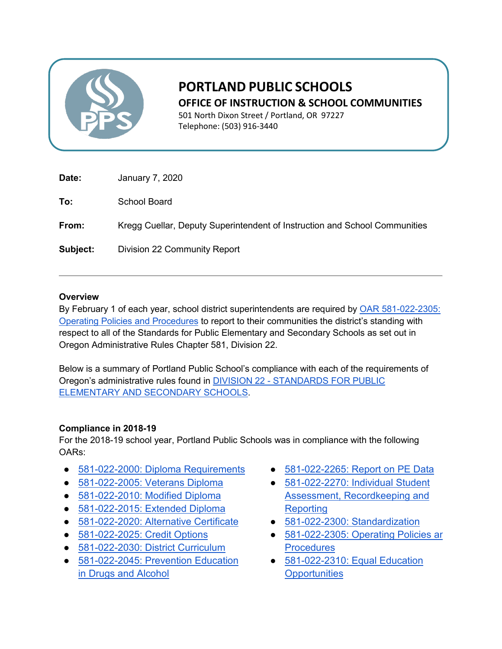

# **PORTLAND PUBLIC SCHOOLS OFFICE OF INSTRUCTION & SCHOOL COMMUNITIES**

501 North Dixon Street / Portland, OR 97227 Telephone: (503) 916-3440

| Date:    | January 7, 2020                                                            |
|----------|----------------------------------------------------------------------------|
| To:      | School Board                                                               |
| From:    | Kregg Cuellar, Deputy Superintendent of Instruction and School Communities |
| Subject: | Division 22 Community Report                                               |

## **Overview**

By February 1 of each year, school district superintendents are required by OAR 581-022-2305: [Operating Policies and Procedures](https://secure.sos.state.or.us/oard/viewSingleRule.action?ruleVrsnRsn=237662) to report to their communities the district's standing with respect to all of the Standards for Public Elementary and Secondary Schools as set out in Oregon Administrative Rules Chapter 581, Division 22.

Below is a summary of Portland Public School's compliance with each of the requirements of Oregon's administrative rules found i[n](https://secure.sos.state.or.us/oard/displayDivisionRules.action?selectedDivision=2563) DIVISION 22 - [STANDARDS FOR PUBLIC](https://secure.sos.state.or.us/oard/displayDivisionRules.action?selectedDivision=2563)  [ELEMENTARY AND SECONDARY SCHOOLS.](https://secure.sos.state.or.us/oard/displayDivisionRules.action?selectedDivision=2563)

#### **Compliance in 2018-19**

For the 2018-19 school year, Portland Public Schools was in compliance with the following OARs:

- [581-022-2000: Diploma Requirements](https://secure.sos.state.or.us/oard/viewSingleRule.action?ruleVrsnRsn=246705)
- [581-022-2005: Veterans Diploma](https://secure.sos.state.or.us/oard/viewSingleRule.action?ruleVrsnRsn=242522)
- [581-022-2010: Modified Diploma](https://secure.sos.state.or.us/oard/viewSingleRule.action?ruleVrsnRsn=145190)
- [581-022-2015: Extended Diploma](https://secure.sos.state.or.us/oard/viewSingleRule.action?ruleVrsnRsn=252771)
- [581-022-2020: Alternative Certificate](https://secure.sos.state.or.us/oard/viewSingleRule.action?ruleVrsnRsn=145202)
- [581-022-2025: Credit Options](https://secure.sos.state.or.us/oard/viewSingleRule.action?ruleVrsnRsn=145206)
- [581-022-2030: District Curriculum](https://secure.sos.state.or.us/oard/viewSingleRule.action?ruleVrsnRsn=246695)
- 581-022-2045: Prevention Education [in Drugs and Alcohol](https://secure.sos.state.or.us/oard/viewSingleRule.action?ruleVrsnRsn=145218)
- [581-022-2265: Report on PE Data](https://secure.sos.state.or.us/oard/viewSingleRule.action?ruleVrsnRsn=145287)
- [581-022-2270: Individual Student](https://secure.sos.state.or.us/oard/viewSingleRule.action?ruleVrsnRsn=145290)  [Assessment, Recordkeeping and](https://secure.sos.state.or.us/oard/viewSingleRule.action?ruleVrsnRsn=145290)  **[Reporting](https://secure.sos.state.or.us/oard/viewSingleRule.action?ruleVrsnRsn=145290)**
- [581-022-2300: Standardization](https://secure.sos.state.or.us/oard/viewSingleRule.action?ruleVrsnRsn=145295)
- 581-022-2305: Operating Policies ar **[Procedures](https://secure.sos.state.or.us/oard/viewSingleRule.action?ruleVrsnRsn=237662)**
- 581-022-2310: Equal Education **[Opportunities](https://secure.sos.state.or.us/oard/viewSingleRule.action?ruleVrsnRsn=145301)**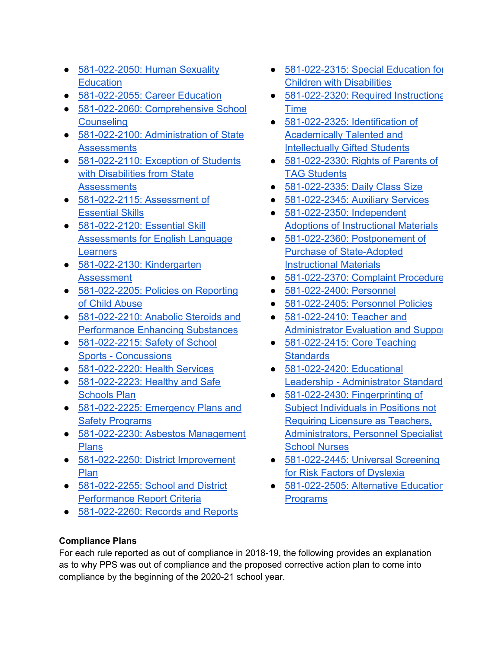- 581-022-2050: Human Sexuality **[Education](https://secure.sos.state.or.us/oard/viewSingleRule.action?ruleVrsnRsn=145221)**
- [581-022-2055: Career Education](https://secure.sos.state.or.us/oard/viewSingleRule.action?ruleVrsnRsn=246708)
- [581-022-2060: Comprehensive School](https://secure.sos.state.or.us/oard/viewSingleRule.action?ruleVrsnRsn=252976)  **[Counseling](https://secure.sos.state.or.us/oard/viewSingleRule.action?ruleVrsnRsn=252976)**
- 581-022-2100: [Administration of State](https://secure.sos.state.or.us/oard/viewSingleRule.action?ruleVrsnRsn=145236)  **[Assessments](https://secure.sos.state.or.us/oard/viewSingleRule.action?ruleVrsnRsn=145236)**
- 581-022-2110: Exception of Students [with Disabilities from State](https://secure.sos.state.or.us/oard/viewSingleRule.action?ruleVrsnRsn=145247)  **[Assessments](https://secure.sos.state.or.us/oard/viewSingleRule.action?ruleVrsnRsn=145247)**
- 581-022-2115: Assessment of [Essential Skills](https://secure.sos.state.or.us/oard/viewSingleRule.action?ruleVrsnRsn=145251)
- 581-022-2120: Essential Skill [Assessments for English Language](https://secure.sos.state.or.us/oard/viewSingleRule.action?ruleVrsnRsn=258158)  **[Learners](https://secure.sos.state.or.us/oard/viewSingleRule.action?ruleVrsnRsn=258158)**
- 581-022-2130: Kindergarten **[Assessment](https://secure.sos.state.or.us/oard/viewSingleRule.action?ruleVrsnRsn=145259)**
- 581-022-2205: Policies on Reporting [of Child Abuse](https://secure.sos.state.or.us/oard/viewSingleRule.action?ruleVrsnRsn=250439)
- [581-022-2210: Anabolic Steroids and](https://secure.sos.state.or.us/oard/viewSingleRule.action?ruleVrsnRsn=145263)  [Performance Enhancing Substances](https://secure.sos.state.or.us/oard/viewSingleRule.action?ruleVrsnRsn=145263)
- 581-022-2215: Safety of School Sports - [Concussions](https://secure.sos.state.or.us/oard/viewSingleRule.action?ruleVrsnRsn=145265)
- [581-022-2220: Health Services](https://secure.sos.state.or.us/oard/viewSingleRule.action?ruleVrsnRsn=145269)
- 581-022-2223: Healthy and Safe [Schools Plan](https://secure.sos.state.or.us/oard/viewSingleRule.action?ruleVrsnRsn=257456)
- 581-022-2225: Emergency Plans and [Safety Programs](https://secure.sos.state.or.us/oard/viewSingleRule.action?ruleVrsnRsn=145271)
- 581-022-2230: Asbestos Management [Plans](https://secure.sos.state.or.us/oard/viewSingleRule.action?ruleVrsnRsn=145274)
- 581-022-2250: District Improvement [Plan](https://secure.sos.state.or.us/oard/viewSingleRule.action?ruleVrsnRsn=145276)
- 581-022-2255: School and District [Performance Report Criteria](https://secure.sos.state.or.us/oard/viewSingleRule.action?ruleVrsnRsn=145277)
- [581-022-2260: Records and Reports](https://secure.sos.state.or.us/oard/viewSingleRule.action?ruleVrsnRsn=145284)
- 581-022-2315: Special Education for [Children with Disabilities](https://secure.sos.state.or.us/oard/viewSingleRule.action?ruleVrsnRsn=145304)
- 581-022-2320: Required Instructiona [Time](https://secure.sos.state.or.us/oard/viewSingleRule.action?ruleVrsnRsn=250536)
- [581-022-2325: Identification of](https://secure.sos.state.or.us/oard/viewSingleRule.action?ruleVrsnRsn=145311)  [Academically Talented and](https://secure.sos.state.or.us/oard/viewSingleRule.action?ruleVrsnRsn=145311)  [Intellectually Gifted Students](https://secure.sos.state.or.us/oard/viewSingleRule.action?ruleVrsnRsn=145311)
- [581-022-2330: Rights of Parents of](https://secure.sos.state.or.us/oard/viewSingleRule.action?ruleVrsnRsn=256781)  [TAG Students](https://secure.sos.state.or.us/oard/viewSingleRule.action?ruleVrsnRsn=256781)
- [581-022-2335: Daily Class Size](https://secure.sos.state.or.us/oard/viewSingleRule.action?ruleVrsnRsn=145317)
- [581-022-2345: Auxiliary Services](https://secure.sos.state.or.us/oard/viewSingleRule.action?ruleVrsnRsn=145322)
- [581-022-2350: Independent](https://secure.sos.state.or.us/oard/viewSingleRule.action?ruleVrsnRsn=145324)  [Adoptions of Instructional Materials](https://secure.sos.state.or.us/oard/viewSingleRule.action?ruleVrsnRsn=145324)
- [581-022-2360: Postponement of](https://secure.sos.state.or.us/oard/viewSingleRule.action?ruleVrsnRsn=145340)  [Purchase of State-Adopted](https://secure.sos.state.or.us/oard/viewSingleRule.action?ruleVrsnRsn=145340)  [Instructional Materials](https://secure.sos.state.or.us/oard/viewSingleRule.action?ruleVrsnRsn=145340)
- [581-022-2370: Complaint Procedure](https://secure.sos.state.or.us/oard/viewSingleRule.action?ruleVrsnRsn=256782)
- [581-022-2400: Personnel](https://secure.sos.state.or.us/oard/viewSingleRule.action?ruleVrsnRsn=145344)
- [581-022-2405: Personnel Policies](https://secure.sos.state.or.us/oard/viewSingleRule.action?ruleVrsnRsn=145347)
- 581-022-2410: Teacher and [Administrator Evaluation and Suppor](https://secure.sos.state.or.us/oard/viewSingleRule.action?ruleVrsnRsn=145351)t
- [581-022-2415: Core Teaching](https://secure.sos.state.or.us/oard/viewSingleRule.action?ruleVrsnRsn=145357)  **[Standards](https://secure.sos.state.or.us/oard/viewSingleRule.action?ruleVrsnRsn=145357)**
- [581-022-2420: Educational](https://secure.sos.state.or.us/oard/viewSingleRule.action?ruleVrsnRsn=145359)  Leadership - [Administrator Standard](https://secure.sos.state.or.us/oard/viewSingleRule.action?ruleVrsnRsn=145359)
- [581-022-2430: Fingerprinting of](https://secure.sos.state.or.us/oard/viewSingleRule.action?ruleVrsnRsn=145362)  [Subject Individuals in Positions not](https://secure.sos.state.or.us/oard/viewSingleRule.action?ruleVrsnRsn=145362)  [Requiring Licensure as Teachers,](https://secure.sos.state.or.us/oard/viewSingleRule.action?ruleVrsnRsn=145362)  [Administrators, Personnel Specialist](https://secure.sos.state.or.us/oard/viewSingleRule.action?ruleVrsnRsn=145362)  [School Nurses](https://secure.sos.state.or.us/oard/viewSingleRule.action?ruleVrsnRsn=145362)
- 581-022-2445: Universal Screening [for Risk Factors of Dyslexia](https://secure.sos.state.or.us/oard/viewSingleRule.action?ruleVrsnRsn=251498)
- 581-022-2505: Alternative Education **[Programs](https://secure.sos.state.or.us/oard/viewSingleRule.action?ruleVrsnRsn=145376)**

# **Compliance Plans**

For each rule reported as out of compliance in 2018-19, the following provides an explanation as to why PPS was out of compliance and the proposed corrective action plan to come into compliance by the beginning of the 2020-21 school year.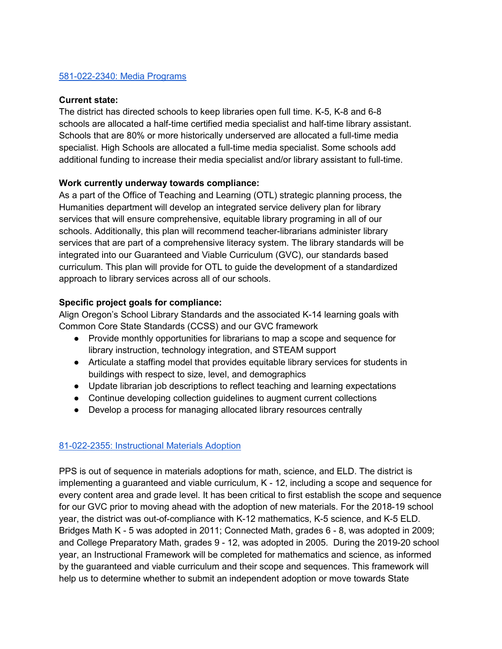## [581-022-2340: Media Programs](https://secure.sos.state.or.us/oard/viewSingleRule.action?ruleVrsnRsn=145320)

#### **Current state:**

The district has directed schools to keep libraries open full time. K-5, K-8 and 6-8 schools are allocated a half-time certified media specialist and half-time library assistant. Schools that are 80% or more historically underserved are allocated a full-time media specialist. High Schools are allocated a full-time media specialist. Some schools add additional funding to increase their media specialist and/or library assistant to full-time.

#### **Work currently underway towards compliance:**

As a part of the Office of Teaching and Learning (OTL) strategic planning process, the Humanities department will develop an integrated service delivery plan for library services that will ensure comprehensive, equitable library programing in all of our schools. Additionally, this plan will recommend teacher-librarians administer library services that are part of a comprehensive literacy system. The library standards will be integrated into our Guaranteed and Viable Curriculum (GVC), our standards based curriculum. This plan will provide for OTL to guide the development of a standardized approach to library services across all of our schools.

#### **Specific project goals for compliance:**

Align Oregon's School Library Standards and the associated K-14 learning goals with Common Core State Standards (CCSS) and our GVC framework

- Provide monthly opportunities for librarians to map a scope and sequence for library instruction, technology integration, and STEAM support
- Articulate a staffing model that provides equitable library services for students in buildings with respect to size, level, and demographics
- Update librarian job descriptions to reflect teaching and learning expectations
- Continue developing collection guidelines to augment current collections
- Develop a process for managing allocated library resources centrally

#### [81-022-2355: Instructional Materials Adoption](https://secure.sos.state.or.us/oard/viewSingleRule.action?ruleVrsnRsn=145335)

PPS is out of sequence in materials adoptions for math, science, and ELD. The district is implementing a guaranteed and viable curriculum, K - 12, including a scope and sequence for every content area and grade level. It has been critical to first establish the scope and sequence for our GVC prior to moving ahead with the adoption of new materials. For the 2018-19 school year, the district was out-of-compliance with K-12 mathematics, K-5 science, and K-5 ELD. Bridges Math K - 5 was adopted in 2011; Connected Math, grades 6 - 8, was adopted in 2009; and College Preparatory Math, grades 9 - 12, was adopted in 2005. During the 2019-20 school year, an Instructional Framework will be completed for mathematics and science, as informed by the guaranteed and viable curriculum and their scope and sequences. This framework will help us to determine whether to submit an independent adoption or move towards State